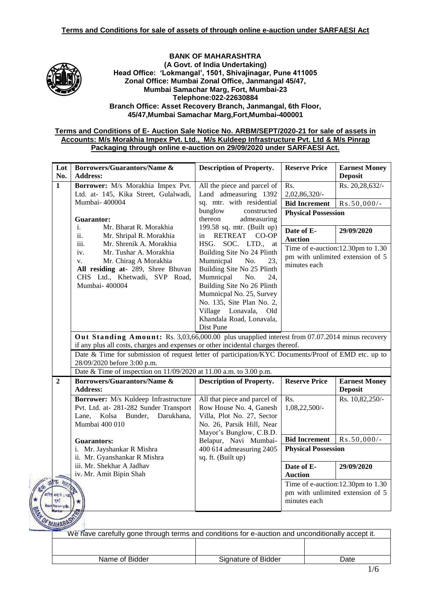

#### **BANK OF MAHARASHTRA (A Govt. of India Undertaking) Head Office: 'Lokmangal', 1501, Shivajinagar, Pune 411005 Zonal Office: Mumbai Zonal Office, Janmangal 45/47, Mumbai Samachar Marg, Fort, Mumbai-23 Telephone:022-22630884 Branch Office: Asset Recovery Branch, Janmangal, 6th Floor, 45/47,Mumbai Samachar Marg,Fort,Mumbai-400001**

### **Terms and Conditions of E- Auction Sale Notice No. ARBM/SEPT/2020-21 for sale of assets in Accounts: M/s Morakhia Impex Pvt. Ltd., M/s Kuldeep Infrastructure Pvt. Ltd & M/s Pinrap Packaging through online e-auction on 29/09/2020 under SARFAESI Act.**

| Lot<br>No.   | <b>Borrowers/Guarantors/Name &amp;</b><br><b>Address:</b>                                                                                                                          | <b>Description of Property.</b>                                                                                                                                                                                                                                            | <b>Reserve Price</b>                                                                  | <b>Earnest Money</b><br><b>Deposit</b> |  |
|--------------|------------------------------------------------------------------------------------------------------------------------------------------------------------------------------------|----------------------------------------------------------------------------------------------------------------------------------------------------------------------------------------------------------------------------------------------------------------------------|---------------------------------------------------------------------------------------|----------------------------------------|--|
| $\mathbf{1}$ | Borrower: M/s Morakhia Impex Pvt.<br>Ltd. at- 145, Kika Street, Gulalwadi,                                                                                                         | All the piece and parcel of<br>Land admeasuring 1392                                                                                                                                                                                                                       | Rs.<br>2,02,86,320/-                                                                  | Rs. 20,28,632/-                        |  |
|              | Mumbai-400004                                                                                                                                                                      | sq. mtr. with residential                                                                                                                                                                                                                                                  | <b>Bid Increment</b>                                                                  | $Rs.50,000/-$                          |  |
|              | <b>Guarantor:</b>                                                                                                                                                                  | bunglow<br>constructed<br>thereon<br>admeasuring                                                                                                                                                                                                                           | <b>Physical Possession</b>                                                            |                                        |  |
|              | $\mathbf{i}$ .<br>Mr. Bharat R. Morakhia<br>ii.<br>Mr. Shripal R. Morakhia<br>iii.<br>Mr. Shrenik A. Morakhia                                                                      | 199.58 sq. mtr. (Built up)<br>RETREAT CO-OP<br>in<br>HSG.<br>SOC. LTD., at                                                                                                                                                                                                 | Date of E-<br><b>Auction</b>                                                          | 29/09/2020                             |  |
|              | iv.<br>Mr. Tushar A. Morakhia<br>Mr. Chirag A Morakhia<br>$V_{\star}$<br>All residing at- 289, Shree Bhuvan<br>CHS Ltd., Khetwadi, SVP Road,<br>Mumbai- 400004                     | Building Site No 24 Plinth<br>Mumnicpal<br>No.<br>23.<br>Building Site No 25 Plinth<br>Mumnicpal<br>No.<br>24,<br>Building Site No 26 Plinth<br>Mumnicpal No. 25, Survey<br>No. 135, Site Plan No. 2,<br>Village Lonavala,<br>Old<br>Khandala Road, Lonavala,<br>Dist Pune | Time of e-auction:12.30pm to 1.30<br>pm with unlimited extension of 5<br>minutes each |                                        |  |
|              | Out Standing Amount: Rs. 3,03,66,000.00 plus unapplied interest from 07.07.2014 minus recovery<br>if any plus all costs, charges and expenses or other incidental charges thereof. |                                                                                                                                                                                                                                                                            |                                                                                       |                                        |  |
|              | Date & Time for submission of request letter of participation/KYC Documents/Proof of EMD etc. up to<br>28/09/2020 before 3:00 p.m.                                                 |                                                                                                                                                                                                                                                                            |                                                                                       |                                        |  |
|              | Date & Time of inspection on 11/09/2020 at 11.00 a.m. to 3.00 p.m.                                                                                                                 |                                                                                                                                                                                                                                                                            |                                                                                       |                                        |  |
| $\mathbf{2}$ | <b>Borrowers/Guarantors/Name &amp;</b><br><b>Address:</b>                                                                                                                          | <b>Description of Property.</b>                                                                                                                                                                                                                                            | <b>Reserve Price</b>                                                                  | <b>Earnest Money</b><br><b>Deposit</b> |  |
|              | Borrower: M/s Kuldeep Infrastructure<br>Pvt. Ltd. at-281-282 Sunder Transport<br>Lane.<br>Kolsa Bunder,<br>Darukhana,<br>Mumbai 400 010                                            | All that piece and parcel of<br>Row House No. 4, Ganesh<br>Villa, Plot No. 27, Sector<br>No. 26, Parsik Hill, Near<br>Mayor's Bunglow, C.B.D.                                                                                                                              | Rs.<br>1,08,22,500/-                                                                  | Rs. 10,82,250/-                        |  |
|              | <b>Guarantors:</b>                                                                                                                                                                 | Belapur, Navi Mumbai-                                                                                                                                                                                                                                                      | <b>Bid Increment</b>                                                                  | $Rs.50,000/-$                          |  |
|              | i. Mr. Jayshankar R Mishra<br>ii. Mr. Gyanshankar R Mishra                                                                                                                         | 400 614 admeasuring 2405<br>sq. ft. (Built up)                                                                                                                                                                                                                             |                                                                                       | <b>Physical Possession</b>             |  |
|              | iii. Mr. Shekhar A Jadhav<br>iv. Mr. Amit Bipin Shah                                                                                                                               |                                                                                                                                                                                                                                                                            | Date of E-<br><b>Auction</b>                                                          | 29/09/2020                             |  |
|              |                                                                                                                                                                                    |                                                                                                                                                                                                                                                                            | Time of e-auction:12.30pm to 1.30                                                     |                                        |  |

| We have carefully gone through terms and conditions for e-auction and unconditionally accept it. |                     |      |  |
|--------------------------------------------------------------------------------------------------|---------------------|------|--|
|                                                                                                  |                     |      |  |
| Name of Bidder                                                                                   | Signature of Bidder | Date |  |
|                                                                                                  |                     |      |  |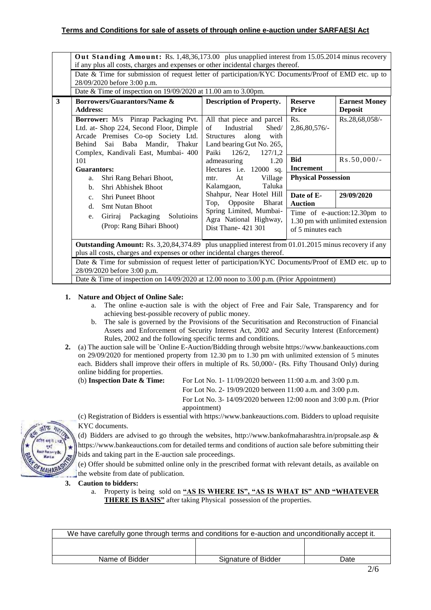# **Terms and Conditions for sale of assets of through online e-auction under SARFAESI Act**

|   | Out Standing Amount: Rs. 1,48,36,173.00 plus unapplied interest from 15.05.2014 minus recovery<br>if any plus all costs, charges and expenses or other incidental charges thereof.                                                                                                                                             |                                                                                                                                                         |                                |                                                                  |
|---|--------------------------------------------------------------------------------------------------------------------------------------------------------------------------------------------------------------------------------------------------------------------------------------------------------------------------------|---------------------------------------------------------------------------------------------------------------------------------------------------------|--------------------------------|------------------------------------------------------------------|
|   | Date & Time for submission of request letter of participation/KYC Documents/Proof of EMD etc. up to<br>28/09/2020 before 3:00 p.m.                                                                                                                                                                                             |                                                                                                                                                         |                                |                                                                  |
|   | Date & Time of inspection on 19/09/2020 at 11.00 am to 3.00pm.                                                                                                                                                                                                                                                                 |                                                                                                                                                         |                                |                                                                  |
| 3 | <b>Borrowers/Guarantors/Name &amp;</b><br><b>Address:</b>                                                                                                                                                                                                                                                                      | <b>Description of Property.</b>                                                                                                                         | <b>Reserve</b><br>Price        | <b>Earnest Money</b><br><b>Deposit</b>                           |
|   | Borrower: M/s Pinrap Packaging Pvt.<br>Ltd. at- Shop 224, Second Floor, Dimple<br>Arcade Premises Co-op Society Ltd.<br>Behind Sai Baba Mandir, Thakur<br>Complex, Kandivali East, Mumbai- 400                                                                                                                                 | All that piece and parcel<br>Industrial<br>Shed/<br>of<br>with<br><b>Structures</b><br>along<br>Land bearing Gut No. 265,<br>Paiki<br>126/2,<br>127/1,2 | Rs.<br>2,86,80,576/-           | Rs.28,68,058/-                                                   |
|   | 101<br>Guarantors:                                                                                                                                                                                                                                                                                                             | admeasuring<br>1.20<br>Hectares i.e. 12000 sq.                                                                                                          | <b>Bid</b><br><b>Increment</b> | $Rs.50,000/-$                                                    |
|   | Shri Rang Behari Bhoot,<br>a.<br>Shri Abhishek Bhoot<br>h.                                                                                                                                                                                                                                                                     | Village<br>At<br>mtr.<br>Taluka<br>Kalamgaon,                                                                                                           | <b>Physical Possession</b>     |                                                                  |
|   | Shri Puneet Bhoot<br>$c_{\cdot}$<br><b>Smt Nutan Bhoot</b><br>d.                                                                                                                                                                                                                                                               | Shahpur, Near Hotel Hill<br>Opposite<br><b>Bharat</b><br>Top,                                                                                           | Date of E-<br><b>Auction</b>   | 29/09/2020                                                       |
|   | Giriraj Packaging<br>Solutioins<br>e.<br>(Prop: Rang Bihari Bhoot)                                                                                                                                                                                                                                                             | Spring Limited, Mumbai-<br>Agra National Highway,<br>Dist Thane- 421 301                                                                                | of 5 minutes each              | Time of e-auction:12.30pm to<br>1.30 pm with unlimited extension |
|   | <b>Outstanding Amount:</b> Rs. 3,20,84,374.89 plus unapplied interest from 01.01.2015 minus recovery if any<br>plus all costs, charges and expenses or other incidental charges thereof.<br>Date & Time for submission of request letter of participation/KYC Documents/Proof of EMD etc. up to<br>28/09/2020 before 3:00 p.m. |                                                                                                                                                         |                                |                                                                  |
|   |                                                                                                                                                                                                                                                                                                                                |                                                                                                                                                         |                                |                                                                  |
|   | Date & Time of inspection on $14/09/2020$ at 12.00 noon to 3.00 p.m. (Prior Appointment)                                                                                                                                                                                                                                       |                                                                                                                                                         |                                |                                                                  |

# **1. Nature and Object of Online Sale:**

- a. The online e-auction sale is with the object of Free and Fair Sale, Transparency and for achieving best-possible recovery of public money.
- b. The sale is governed by the Provisions of the Securitisation and Reconstruction of Financial Assets and Enforcement of Security Interest Act, 2002 and Security Interest (Enforcement) Rules, 2002 and the following specific terms and conditions.
- **2.** (a) The auction sale will be `Online E-Auction/Bidding through websit[e https://www.bankeauctions.com](https://www.bankeauctions.com/) [on 2](https://www.mstcecommerce.com/auctionhome/ibapi/index.jsp%20on%2025.02.2020)9/09/2020 for mentioned property from 12.30 pm to 1.30 pm with unlimited extension of 5 minutes each. Bidders shall improve their offers in multiple of Rs. 50,000/- (Rs. Fifty Thousand Only) during online bidding for properties.

(b) **Inspection Date & Time:** For Lot No. 1- 11/09/2020 between 11:00 a.m. and 3:00 p.m.

For Lot No. 2- 19/09/2020 between 11:00 a.m. and 3:00 p.m.

For Lot No. 3- 14/09/2020 between 12:00 noon and 3:00 p.m. (Prior appointment)



KYC documents. (d) Bidders are advised to go through the websites,<http://www.bankofmaharashtra.in/propsale.asp> & [https://www.bankeauctions.com](https://www.bankeauctions.com/) for detailed terms and conditions of auction sale before submitting their

bids and taking part in the E-auction sale proceedings.

(e) Offer should be submitted online only in the prescribed format with relevant details, as available on the website from date of publication.

**3. Caution to bidders:**

a. Property is being sold on **"AS IS WHERE IS", "AS IS WHAT IS" AND "WHATEVER THERE IS BASIS"** after taking Physical possession of the properties.

| We have carefully gone through terms and conditions for e-auction and unconditionally accept it. |                     |      |  |
|--------------------------------------------------------------------------------------------------|---------------------|------|--|
|                                                                                                  |                     |      |  |
|                                                                                                  |                     |      |  |
| Name of Bidder                                                                                   | Signature of Bidder | Date |  |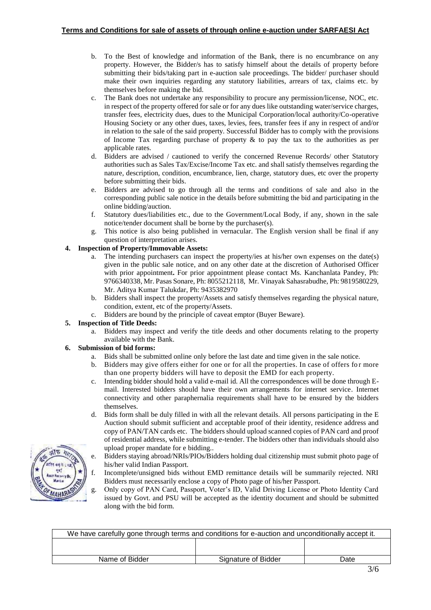- b. To the Best of knowledge and information of the Bank, there is no encumbrance on any property. However, the Bidder/s has to satisfy himself about the details of property before submitting their bids/taking part in e-auction sale proceedings. The bidder/ purchaser should make their own inquiries regarding any statutory liabilities, arrears of tax, claims etc. by themselves before making the bid.
- c. The Bank does not undertake any responsibility to procure any permission/license, NOC, etc. in respect of the property offered for sale or for any dues like outstanding water/service charges, transfer fees, electricity dues, dues to the Municipal Corporation/local authority/Co-operative Housing Society or any other dues, taxes, levies, fees, transfer fees if any in respect of and/or in relation to the sale of the said property. Successful Bidder has to comply with the provisions of Income Tax regarding purchase of property  $\&$  to pay the tax to the authorities as per applicable rates.
- d. Bidders are advised / cautioned to verify the concerned Revenue Records/ other Statutory authorities such as Sales Tax/Excise/Income Tax etc. and shall satisfy themselves regarding the nature, description, condition, encumbrance, lien, charge, statutory dues, etc over the property before submitting their bids.
- e. Bidders are advised to go through all the terms and conditions of sale and also in the corresponding public sale notice in the details before submitting the bid and participating in the online bidding/auction.
- f. Statutory dues/liabilities etc., due to the Government/Local Body, if any, shown in the sale notice/tender document shall be borne by the purchaser(s).
- g. This notice is also being published in vernacular. The English version shall be final if any question of interpretation arises.

### **4. Inspection of Property/Immovable Assets:**

- The intending purchasers can inspect the property/ies at his/her own expenses on the date(s) given in the public sale notice, and on any other date at the discretion of Authorised Officer with prior appointment**.** For prior appointment please contact Ms. Kanchanlata Pandey, Ph: 9766340338, Mr. Pasas Sonare, Ph: 8055212118, Mr. Vinayak Sahasrabudhe, Ph: 9819580229, Mr. Aditya Kumar Talukdar, Ph: 9435382970
- b. Bidders shall inspect the property/Assets and satisfy themselves regarding the physical nature, condition, extent, etc of the property/Assets.
- c. Bidders are bound by the principle of caveat emptor (Buyer Beware).

# **5. Inspection of Title Deeds:**

a. Bidders may inspect and verify the title deeds and other documents relating to the property available with the Bank.

#### **6. Submission of bid forms:**

- a. Bids shall be submitted online only before the last date and time given in the sale notice.
- b. Bidders may give offers either for one or for all the properties. In case of offers for more than one property bidders will have to deposit the EMD for each property.
- c. Intending bidder should hold a valid e-mail id. All the correspondences will be done through Email. Interested bidders should have their own arrangements for internet service. Internet connectivity and other paraphernalia requirements shall have to be ensured by the bidders themselves.
- d. Bids form shall be duly filled in with all the relevant details. All persons participating in the E Auction should submit sufficient and acceptable proof of their identity, residence address and copy of PAN/TAN cards etc. The bidders should upload scanned copies of PAN card and proof of residential address, while submitting e-tender. The bidders other than individuals should also upload proper mandate for e bidding..
- e. Bidders staying abroad/NRIs/PIOs/Bidders holding dual citizenship must submit photo page of his/her valid Indian Passport.
- f. Incomplete/unsigned bids without EMD remittance details will be summarily rejected. NRI Bidders must necessarily enclose a copy of Photo page of his/her Passport.
- g. Only copy of PAN Card, Passport, Voter's ID, Valid Driving License or Photo Identity Card issued by Govt. and PSU will be accepted as the identity document and should be submitted along with the bid form.

| We have carefully gone through terms and conditions for e-auction and unconditionally accept it. |                     |      |  |
|--------------------------------------------------------------------------------------------------|---------------------|------|--|
|                                                                                                  |                     |      |  |
|                                                                                                  |                     |      |  |
| Name of Bidder                                                                                   | Signature of Bidder | Date |  |

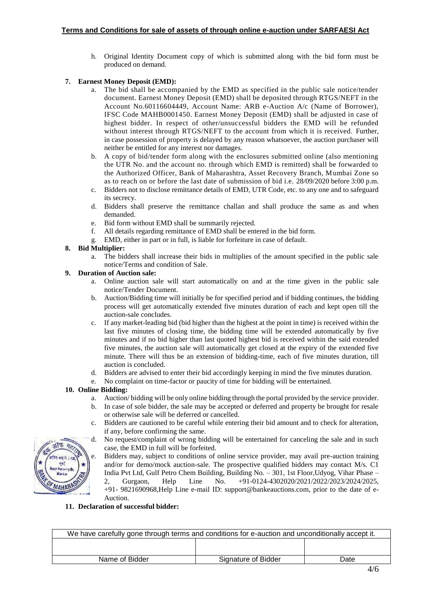h. Original Identity Document copy of which is submitted along with the bid form must be produced on demand.

# **7. Earnest Money Deposit (EMD):**

- a. The bid shall be accompanied by the EMD as specified in the public sale notice/tender document. Earnest Money Deposit (EMD) shall be deposited through RTGS/NEFT in the Account No.60116604449, Account Name: ARB e-Auction A/c (Name of Borrower), IFSC Code MAHB0001450. Earnest Money Deposit (EMD) shall be adjusted in case of highest bidder. In respect of other/unsuccessful bidders the EMD will be refunded without interest through RTGS/NEFT to the account from which it is received. Further, in case possession of property is delayed by any reason whatsoever, the auction purchaser will neither be entitled for any interest nor damages.
- b. A copy of bid/tender form along with the enclosures submitted online (also mentioning the UTR No. and the account no. through which EMD is remitted) shall be forwarded to the Authorized Officer, Bank of Maharashtra, Asset Recovery Branch, Mumbai Zone so as to reach on or before the last date of submission of bid i.e. 28/09/2020 before 3:00 p.m.
- c. Bidders not to disclose remittance details of EMD, UTR Code, etc. to any one and to safeguard its secrecy.
- d. Bidders shall preserve the remittance challan and shall produce the same as and when demanded.
- e. Bid form without EMD shall be summarily rejected.
- f. All details regarding remittance of EMD shall be entered in the bid form.
- g. EMD, either in part or in full, is liable for forfeiture in case of default.

### **8. Bid Multiplier:**

a. The bidders shall increase their bids in multiplies of the amount specified in the public sale notice/Terms and condition of Sale.

# **9. Duration of Auction sale:**

- a. Online auction sale will start automatically on and at the time given in the public sale notice/Tender Document.
- b. Auction/Bidding time will initially be for specified period and if bidding continues, the bidding process will get automatically extended five minutes duration of each and kept open till the auction-sale concludes.
- c. If any market-leading bid (bid higher than the highest at the point in time) is received within the last five minutes of closing time, the bidding time will be extended automatically by five minutes and if no bid higher than last quoted highest bid is received within the said extended five minutes, the auction sale will automatically get closed at the expiry of the extended five minute. There will thus be an extension of bidding-time, each of five minutes duration, till auction is concluded.
- d. Bidders are advised to enter their bid accordingly keeping in mind the five minutes duration.
- e. No complaint on time-factor or paucity of time for bidding will be entertained.

# **10. Online Bidding:**

- a. Auction/ bidding will be only online bidding through the portal provided by the service provider.
- b. In case of sole bidder, the sale may be accepted or deferred and property be brought for resale or otherwise sale will be deferred or cancelled.
- c. Bidders are cautioned to be careful while entering their bid amount and to check for alteration, if any, before confirming the same.
- d. No request/complaint of wrong bidding will be entertained for canceling the sale and in such case, the EMD in full will be forfeited.
- e. Bidders may, subject to conditions of online service provider, may avail pre-auction training and/or for demo/mock auction-sale. The prospective qualified bidders may contact M/s. C1 India Pvt Ltd, Gulf Petro Chem Building, Building No. – 301, 1st Floor,Udyog, Vihar Phase – 2, Gurgaon, Help Line No. +91-0124-4302020/2021/2022/2023/2024/2025, +91- 9821690968,Help Line e-mail ID: [support@bankeauctions.com,](mailto:support@bankeauctions.com) prior to the date of e-Auction.

#### **11. Declaration of successful bidder:**

| We have carefully gone through terms and conditions for e-auction and unconditionally accept it. |                     |      |  |
|--------------------------------------------------------------------------------------------------|---------------------|------|--|
|                                                                                                  |                     |      |  |
| Name of Bidder                                                                                   | Signature of Bidder | Date |  |

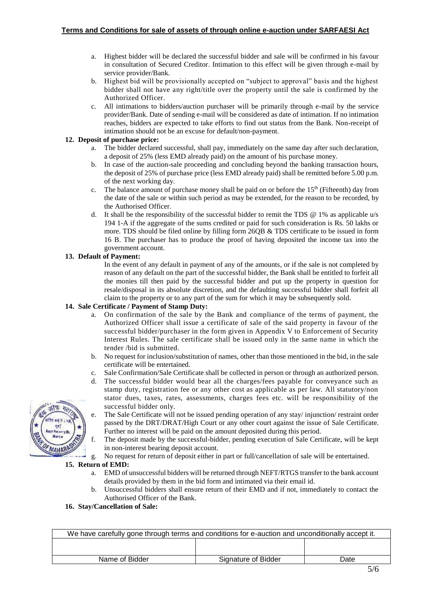- a. Highest bidder will be declared the successful bidder and sale will be confirmed in his favour in consultation of Secured Creditor. Intimation to this effect will be given through e-mail by service provider/Bank.
- b. Highest bid will be provisionally accepted on "subject to approval" basis and the highest bidder shall not have any right/title over the property until the sale is confirmed by the Authorized Officer.
- c. All intimations to bidders/auction purchaser will be primarily through e-mail by the service provider/Bank. Date of sending e-mail will be considered as date of intimation. If no intimation reaches, bidders are expected to take efforts to find out status from the Bank. Non-receipt of intimation should not be an excuse for default/non-payment.

#### **12. Deposit of purchase price:**

- a. The bidder declared successful, shall pay, immediately on the same day after such declaration, a deposit of 25% (less EMD already paid) on the amount of his purchase money.
- b. In case of the auction-sale proceeding and concluding beyond the banking transaction hours, the deposit of 25% of purchase price (less EMD already paid) shall be remitted before 5.00 p.m. of the next working day.
- c. The balance amount of purchase money shall be paid on or before the  $15<sup>th</sup>$  (Fifteenth) day from the date of the sale or within such period as may be extended, for the reason to be recorded, by the Authorised Officer.
- d. It shall be the responsibility of the successful bidder to remit the TDS  $\omega$  1% as applicable u/s 194 1-A if the aggregate of the sums credited or paid for such consideration is Rs. 50 lakhs or more. TDS should be filed online by filling form 26QB & TDS certificate to be issued in form 16 B. The purchaser has to produce the proof of having deposited the income tax into the government account.

# **13. Default of Payment:**

In the event of any default in payment of any of the amounts, or if the sale is not completed by reason of any default on the part of the successful bidder, the Bank shall be entitled to forfeit all the monies till then paid by the successful bidder and put up the property in question for resale/disposal in its absolute discretion, and the defaulting successful bidder shall forfeit all claim to the property or to any part of the sum for which it may be subsequently sold.

### **14. Sale Certificate / Payment of Stamp Duty:**

- a. On confirmation of the sale by the Bank and compliance of the terms of payment, the Authorized Officer shall issue a certificate of sale of the said property in favour of the successful bidder/purchaser in the form given in Appendix V to Enforcement of Security Interest Rules. The sale certificate shall be issued only in the same name in which the tender /bid is submitted.
- b. No request for inclusion/substitution of names, other than those mentioned in the bid, in the sale certificate will be entertained.
- c. Sale Confirmation/Sale Certificate shall be collected in person or through an authorized person.
- d. The successful bidder would bear all the charges/fees payable for conveyance such as stamp duty, registration fee or any other cost as applicable as per law. All statutory/non stator dues, taxes, rates, assessments, charges fees etc. will be responsibility of the successful bidder only.
- e. The Sale Certificate will not be issued pending operation of any stay/ injunction/ restraint order passed by the DRT/DRAT/High Court or any other court against the issue of Sale Certificate. Further no interest will be paid on the amount deposited during this period.
- f. The deposit made by the successful-bidder, pending execution of Sale Certificate, will be kept in non-interest bearing deposit account.
- g. No request for return of deposit either in part or full/cancellation of sale will be entertained.

#### **15. Return of EMD:**

- a. EMD of unsuccessful bidders will be returned through NEFT/RTGS transfer to the bank account details provided by them in the bid form and intimated via their email id.
- b. Unsuccessful bidders shall ensure return of their EMD and if not, immediately to contact the Authorised Officer of the Bank.

**16. Stay/Cancellation of Sale:**

| We have carefully gone through terms and conditions for e-auction and unconditionally accept it. |                     |      |  |
|--------------------------------------------------------------------------------------------------|---------------------|------|--|
|                                                                                                  |                     |      |  |
| Name of Bidder                                                                                   | Signature of Bidder | Date |  |